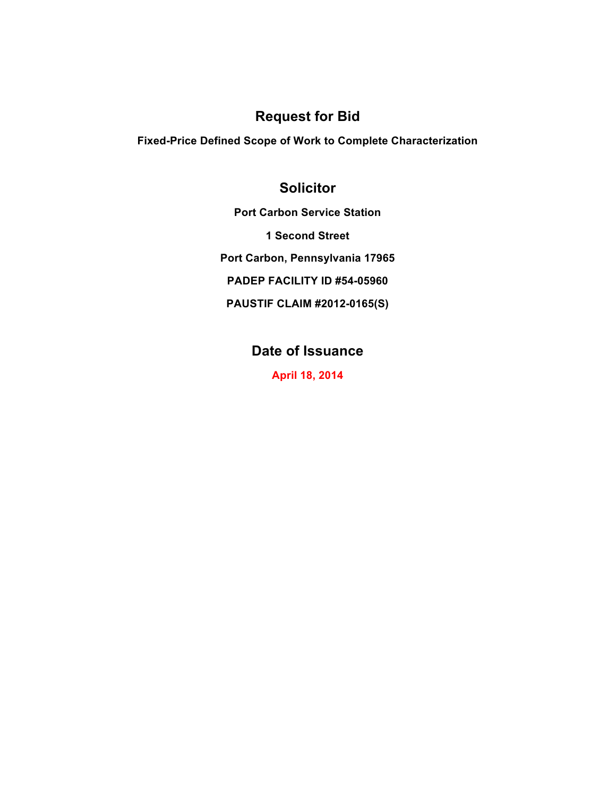## **Request for Bid**

**Fixed-Price Defined Scope of Work to Complete Characterization** 

## **Solicitor**

**Port Carbon Service Station 1 Second Street Port Carbon, Pennsylvania 17965 PADEP FACILITY ID #54-05960 PAUSTIF CLAIM #2012-0165(S)**

# **Date of Issuance**

**April 18, 2014**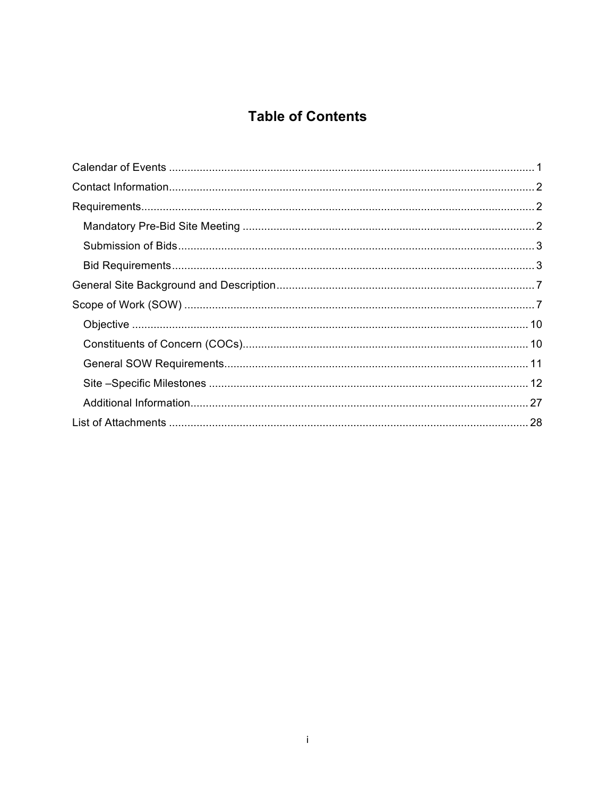# **Table of Contents**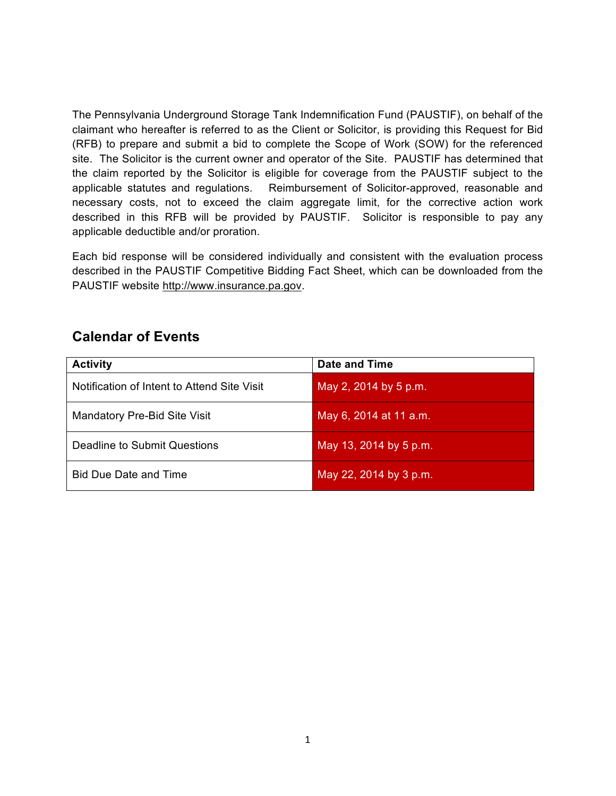The Pennsylvania Underground Storage Tank Indemnification Fund (PAUSTIF), on behalf of the claimant who hereafter is referred to as the Client or Solicitor, is providing this Request for Bid (RFB) to prepare and submit a bid to complete the Scope of Work (SOW) for the referenced site. The Solicitor is the current owner and operator of the Site. PAUSTIF has determined that the claim reported by the Solicitor is eligible for coverage from the PAUSTIF subject to the applicable statutes and regulations. Reimbursement of Solicitor-approved, reasonable and necessary costs, not to exceed the claim aggregate limit, for the corrective action work described in this RFB will be provided by PAUSTIF. Solicitor is responsible to pay any applicable deductible and/or proration.

Each bid response will be considered individually and consistent with the evaluation process described in the PAUSTIF Competitive Bidding Fact Sheet, which can be downloaded from the PAUSTIF website http://www.insurance.pa.gov.

| <b>Activity</b>                             | Date and Time          |
|---------------------------------------------|------------------------|
| Notification of Intent to Attend Site Visit | May 2, 2014 by 5 p.m.  |
| Mandatory Pre-Bid Site Visit                | May 6, 2014 at 11 a.m. |
| Deadline to Submit Questions                | May 13, 2014 by 5 p.m. |
| Bid Due Date and Time                       | May 22, 2014 by 3 p.m. |

## **Calendar of Events**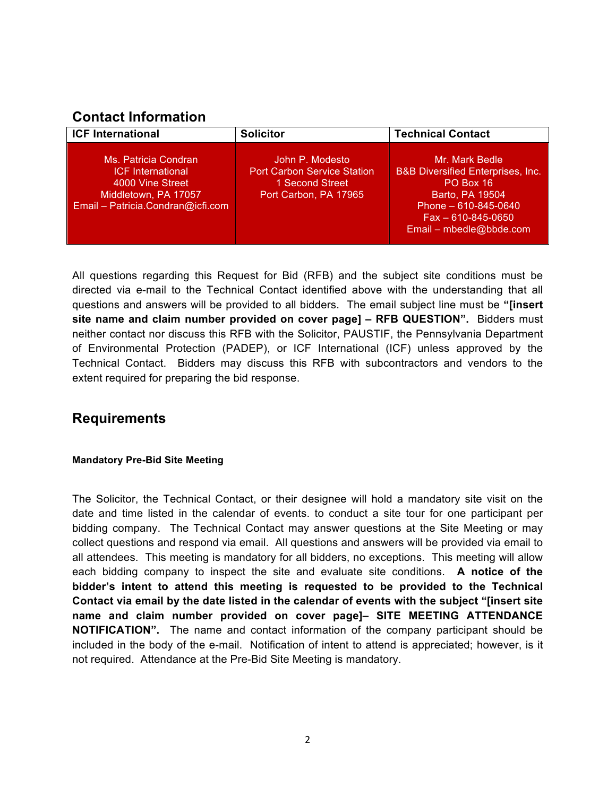## **Contact Information**

| <b>ICF International</b>                                                                                                          | <b>Solicitor</b>                                                                                  | <b>Technical Contact</b>                                                                                                                                                       |
|-----------------------------------------------------------------------------------------------------------------------------------|---------------------------------------------------------------------------------------------------|--------------------------------------------------------------------------------------------------------------------------------------------------------------------------------|
| Ms. Patricia Condran<br><b>ICF</b> International<br>4000 Vine Street<br>Middletown, PA 17057<br>Email - Patricia.Condran@icfi.com | John P. Modesto<br><b>Port Carbon Service Station</b><br>1 Second Street<br>Port Carbon, PA 17965 | Mr. Mark Bedle<br><b>B&amp;B Diversified Enterprises, Inc.</b><br>PO Box 16<br>Barto, PA 19504<br>Phone $-610-845-0640$<br>$Fax - 610 - 845 - 0650$<br>Email - mbedle@bbde.com |

All questions regarding this Request for Bid (RFB) and the subject site conditions must be directed via e-mail to the Technical Contact identified above with the understanding that all questions and answers will be provided to all bidders. The email subject line must be **"[insert site name and claim number provided on cover page] – RFB QUESTION".** Bidders must neither contact nor discuss this RFB with the Solicitor, PAUSTIF, the Pennsylvania Department of Environmental Protection (PADEP), or ICF International (ICF) unless approved by the Technical Contact. Bidders may discuss this RFB with subcontractors and vendors to the extent required for preparing the bid response.

## **Requirements**

### **Mandatory Pre-Bid Site Meeting**

The Solicitor, the Technical Contact, or their designee will hold a mandatory site visit on the date and time listed in the calendar of events. to conduct a site tour for one participant per bidding company. The Technical Contact may answer questions at the Site Meeting or may collect questions and respond via email. All questions and answers will be provided via email to all attendees. This meeting is mandatory for all bidders, no exceptions. This meeting will allow each bidding company to inspect the site and evaluate site conditions. **A notice of the bidder's intent to attend this meeting is requested to be provided to the Technical Contact via email by the date listed in the calendar of events with the subject "[insert site name and claim number provided on cover page]– SITE MEETING ATTENDANCE NOTIFICATION".** The name and contact information of the company participant should be included in the body of the e-mail. Notification of intent to attend is appreciated; however, is it not required. Attendance at the Pre-Bid Site Meeting is mandatory.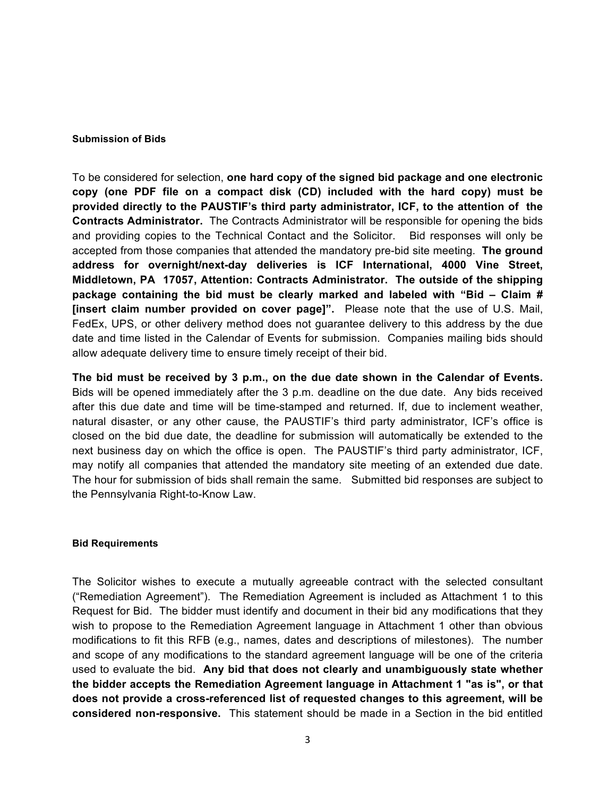#### **Submission of Bids**

To be considered for selection, **one hard copy of the signed bid package and one electronic copy (one PDF file on a compact disk (CD) included with the hard copy) must be provided directly to the PAUSTIF's third party administrator, ICF, to the attention of the Contracts Administrator.** The Contracts Administrator will be responsible for opening the bids and providing copies to the Technical Contact and the Solicitor. Bid responses will only be accepted from those companies that attended the mandatory pre-bid site meeting. **The ground address for overnight/next-day deliveries is ICF International, 4000 Vine Street, Middletown, PA 17057, Attention: Contracts Administrator. The outside of the shipping package containing the bid must be clearly marked and labeled with "Bid – Claim # [insert claim number provided on cover page]".** Please note that the use of U.S. Mail, FedEx, UPS, or other delivery method does not guarantee delivery to this address by the due date and time listed in the Calendar of Events for submission. Companies mailing bids should allow adequate delivery time to ensure timely receipt of their bid.

**The bid must be received by 3 p.m., on the due date shown in the Calendar of Events.** Bids will be opened immediately after the 3 p.m. deadline on the due date. Any bids received after this due date and time will be time-stamped and returned. If, due to inclement weather, natural disaster, or any other cause, the PAUSTIF's third party administrator, ICF's office is closed on the bid due date, the deadline for submission will automatically be extended to the next business day on which the office is open. The PAUSTIF's third party administrator, ICF, may notify all companies that attended the mandatory site meeting of an extended due date. The hour for submission of bids shall remain the same. Submitted bid responses are subject to the Pennsylvania Right-to-Know Law.

#### **Bid Requirements**

The Solicitor wishes to execute a mutually agreeable contract with the selected consultant ("Remediation Agreement"). The Remediation Agreement is included as Attachment 1 to this Request for Bid. The bidder must identify and document in their bid any modifications that they wish to propose to the Remediation Agreement language in Attachment 1 other than obvious modifications to fit this RFB (e.g., names, dates and descriptions of milestones). The number and scope of any modifications to the standard agreement language will be one of the criteria used to evaluate the bid. **Any bid that does not clearly and unambiguously state whether the bidder accepts the Remediation Agreement language in Attachment 1 "as is", or that does not provide a cross-referenced list of requested changes to this agreement, will be considered non-responsive.** This statement should be made in a Section in the bid entitled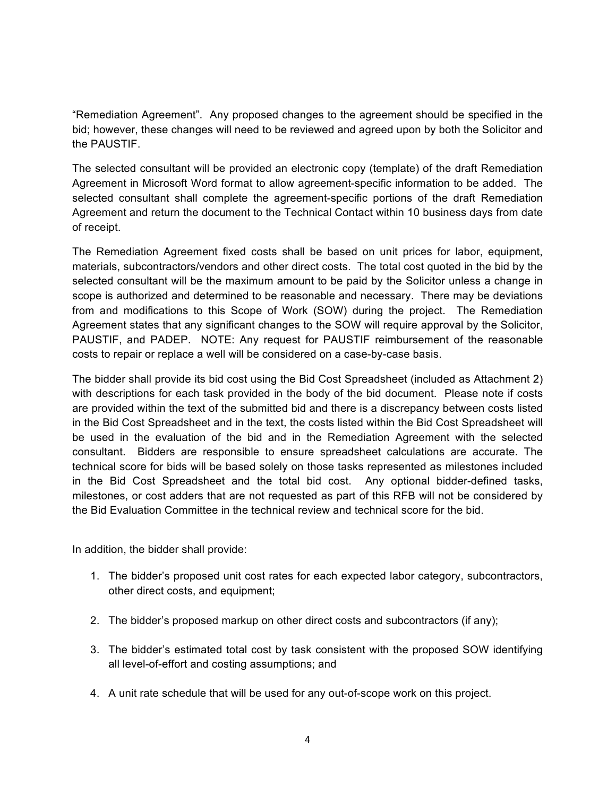"Remediation Agreement". Any proposed changes to the agreement should be specified in the bid; however, these changes will need to be reviewed and agreed upon by both the Solicitor and the PAUSTIF.

The selected consultant will be provided an electronic copy (template) of the draft Remediation Agreement in Microsoft Word format to allow agreement-specific information to be added. The selected consultant shall complete the agreement-specific portions of the draft Remediation Agreement and return the document to the Technical Contact within 10 business days from date of receipt.

The Remediation Agreement fixed costs shall be based on unit prices for labor, equipment, materials, subcontractors/vendors and other direct costs. The total cost quoted in the bid by the selected consultant will be the maximum amount to be paid by the Solicitor unless a change in scope is authorized and determined to be reasonable and necessary. There may be deviations from and modifications to this Scope of Work (SOW) during the project. The Remediation Agreement states that any significant changes to the SOW will require approval by the Solicitor, PAUSTIF, and PADEP. NOTE: Any request for PAUSTIF reimbursement of the reasonable costs to repair or replace a well will be considered on a case-by-case basis.

The bidder shall provide its bid cost using the Bid Cost Spreadsheet (included as Attachment 2) with descriptions for each task provided in the body of the bid document. Please note if costs are provided within the text of the submitted bid and there is a discrepancy between costs listed in the Bid Cost Spreadsheet and in the text, the costs listed within the Bid Cost Spreadsheet will be used in the evaluation of the bid and in the Remediation Agreement with the selected consultant. Bidders are responsible to ensure spreadsheet calculations are accurate. The technical score for bids will be based solely on those tasks represented as milestones included in the Bid Cost Spreadsheet and the total bid cost. Any optional bidder-defined tasks, milestones, or cost adders that are not requested as part of this RFB will not be considered by the Bid Evaluation Committee in the technical review and technical score for the bid.

In addition, the bidder shall provide:

- 1. The bidder's proposed unit cost rates for each expected labor category, subcontractors, other direct costs, and equipment;
- 2. The bidder's proposed markup on other direct costs and subcontractors (if any);
- 3. The bidder's estimated total cost by task consistent with the proposed SOW identifying all level-of-effort and costing assumptions; and
- 4. A unit rate schedule that will be used for any out-of-scope work on this project.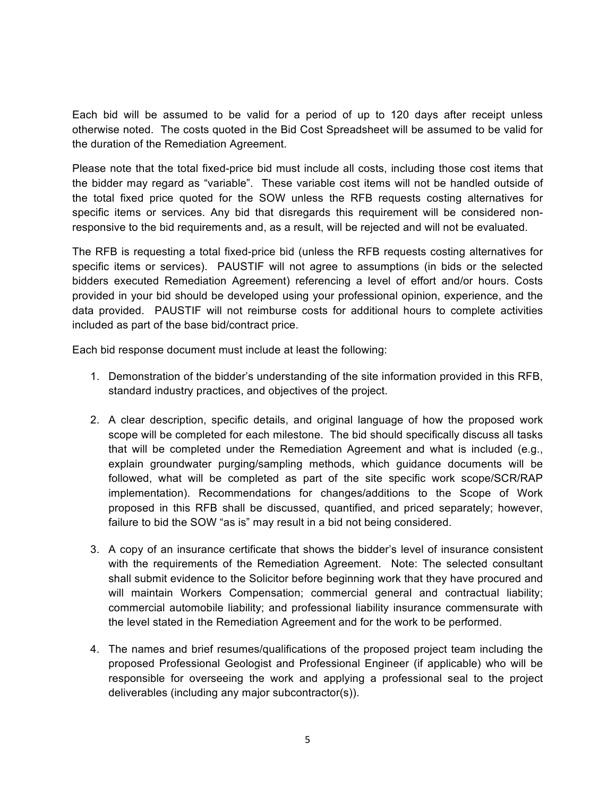Each bid will be assumed to be valid for a period of up to 120 days after receipt unless otherwise noted. The costs quoted in the Bid Cost Spreadsheet will be assumed to be valid for the duration of the Remediation Agreement.

Please note that the total fixed-price bid must include all costs, including those cost items that the bidder may regard as "variable". These variable cost items will not be handled outside of the total fixed price quoted for the SOW unless the RFB requests costing alternatives for specific items or services. Any bid that disregards this requirement will be considered nonresponsive to the bid requirements and, as a result, will be rejected and will not be evaluated.

The RFB is requesting a total fixed-price bid (unless the RFB requests costing alternatives for specific items or services). PAUSTIF will not agree to assumptions (in bids or the selected bidders executed Remediation Agreement) referencing a level of effort and/or hours. Costs provided in your bid should be developed using your professional opinion, experience, and the data provided. PAUSTIF will not reimburse costs for additional hours to complete activities included as part of the base bid/contract price.

Each bid response document must include at least the following:

- 1. Demonstration of the bidder's understanding of the site information provided in this RFB, standard industry practices, and objectives of the project.
- 2. A clear description, specific details, and original language of how the proposed work scope will be completed for each milestone. The bid should specifically discuss all tasks that will be completed under the Remediation Agreement and what is included (e.g., explain groundwater purging/sampling methods, which guidance documents will be followed, what will be completed as part of the site specific work scope/SCR/RAP implementation). Recommendations for changes/additions to the Scope of Work proposed in this RFB shall be discussed, quantified, and priced separately; however, failure to bid the SOW "as is" may result in a bid not being considered.
- 3. A copy of an insurance certificate that shows the bidder's level of insurance consistent with the requirements of the Remediation Agreement. Note: The selected consultant shall submit evidence to the Solicitor before beginning work that they have procured and will maintain Workers Compensation; commercial general and contractual liability; commercial automobile liability; and professional liability insurance commensurate with the level stated in the Remediation Agreement and for the work to be performed.
- 4. The names and brief resumes/qualifications of the proposed project team including the proposed Professional Geologist and Professional Engineer (if applicable) who will be responsible for overseeing the work and applying a professional seal to the project deliverables (including any major subcontractor(s)).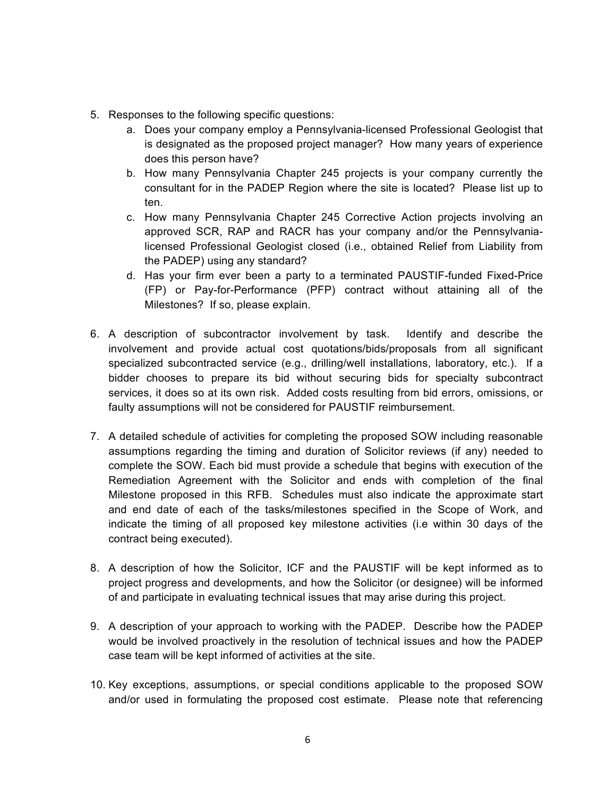- 5. Responses to the following specific questions:
	- a. Does your company employ a Pennsylvania-licensed Professional Geologist that is designated as the proposed project manager? How many years of experience does this person have?
	- b. How many Pennsylvania Chapter 245 projects is your company currently the consultant for in the PADEP Region where the site is located? Please list up to ten.
	- c. How many Pennsylvania Chapter 245 Corrective Action projects involving an approved SCR, RAP and RACR has your company and/or the Pennsylvanialicensed Professional Geologist closed (i.e., obtained Relief from Liability from the PADEP) using any standard?
	- d. Has your firm ever been a party to a terminated PAUSTIF-funded Fixed-Price (FP) or Pay-for-Performance (PFP) contract without attaining all of the Milestones? If so, please explain.
- 6. A description of subcontractor involvement by task. Identify and describe the involvement and provide actual cost quotations/bids/proposals from all significant specialized subcontracted service (e.g., drilling/well installations, laboratory, etc.). If a bidder chooses to prepare its bid without securing bids for specialty subcontract services, it does so at its own risk. Added costs resulting from bid errors, omissions, or faulty assumptions will not be considered for PAUSTIF reimbursement.
- 7. A detailed schedule of activities for completing the proposed SOW including reasonable assumptions regarding the timing and duration of Solicitor reviews (if any) needed to complete the SOW. Each bid must provide a schedule that begins with execution of the Remediation Agreement with the Solicitor and ends with completion of the final Milestone proposed in this RFB. Schedules must also indicate the approximate start and end date of each of the tasks/milestones specified in the Scope of Work, and indicate the timing of all proposed key milestone activities (i.e within 30 days of the contract being executed).
- 8. A description of how the Solicitor, ICF and the PAUSTIF will be kept informed as to project progress and developments, and how the Solicitor (or designee) will be informed of and participate in evaluating technical issues that may arise during this project.
- 9. A description of your approach to working with the PADEP. Describe how the PADEP would be involved proactively in the resolution of technical issues and how the PADEP case team will be kept informed of activities at the site.
- 10. Key exceptions, assumptions, or special conditions applicable to the proposed SOW and/or used in formulating the proposed cost estimate. Please note that referencing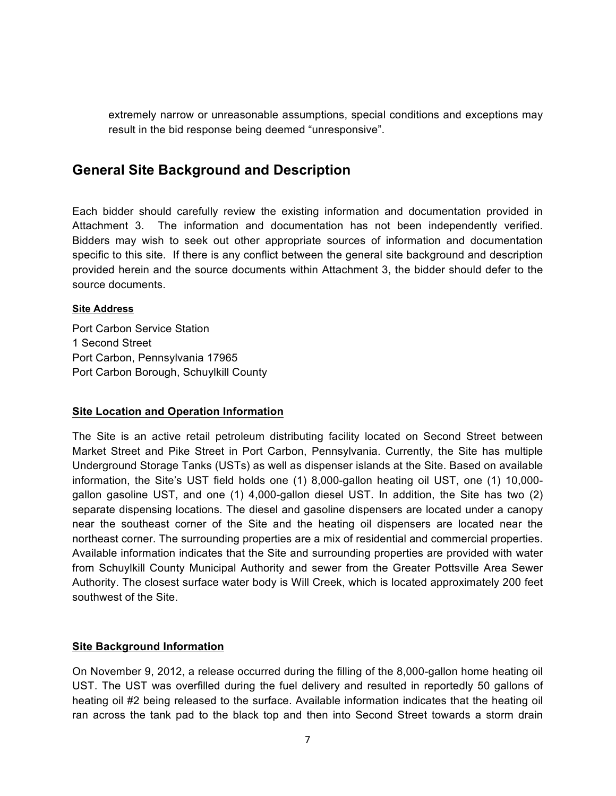extremely narrow or unreasonable assumptions, special conditions and exceptions may result in the bid response being deemed "unresponsive".

### **General Site Background and Description**

Each bidder should carefully review the existing information and documentation provided in Attachment 3. The information and documentation has not been independently verified. Bidders may wish to seek out other appropriate sources of information and documentation specific to this site. If there is any conflict between the general site background and description provided herein and the source documents within Attachment 3, the bidder should defer to the source documents.

### **Site Address**

Port Carbon Service Station 1 Second Street Port Carbon, Pennsylvania 17965 Port Carbon Borough, Schuylkill County

### **Site Location and Operation Information**

The Site is an active retail petroleum distributing facility located on Second Street between Market Street and Pike Street in Port Carbon, Pennsylvania. Currently, the Site has multiple Underground Storage Tanks (USTs) as well as dispenser islands at the Site. Based on available information, the Site's UST field holds one (1) 8,000-gallon heating oil UST, one (1) 10,000 gallon gasoline UST, and one (1) 4,000-gallon diesel UST. In addition, the Site has two (2) separate dispensing locations. The diesel and gasoline dispensers are located under a canopy near the southeast corner of the Site and the heating oil dispensers are located near the northeast corner. The surrounding properties are a mix of residential and commercial properties. Available information indicates that the Site and surrounding properties are provided with water from Schuylkill County Municipal Authority and sewer from the Greater Pottsville Area Sewer Authority. The closest surface water body is Will Creek, which is located approximately 200 feet southwest of the Site.

### **Site Background Information**

On November 9, 2012, a release occurred during the filling of the 8,000-gallon home heating oil UST. The UST was overfilled during the fuel delivery and resulted in reportedly 50 gallons of heating oil #2 being released to the surface. Available information indicates that the heating oil ran across the tank pad to the black top and then into Second Street towards a storm drain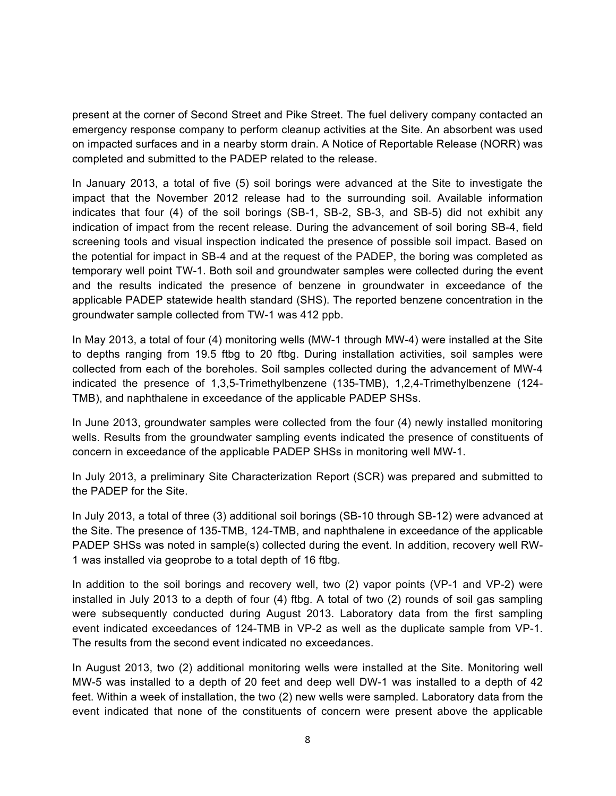present at the corner of Second Street and Pike Street. The fuel delivery company contacted an emergency response company to perform cleanup activities at the Site. An absorbent was used on impacted surfaces and in a nearby storm drain. A Notice of Reportable Release (NORR) was completed and submitted to the PADEP related to the release.

In January 2013, a total of five (5) soil borings were advanced at the Site to investigate the impact that the November 2012 release had to the surrounding soil. Available information indicates that four (4) of the soil borings (SB-1, SB-2, SB-3, and SB-5) did not exhibit any indication of impact from the recent release. During the advancement of soil boring SB-4, field screening tools and visual inspection indicated the presence of possible soil impact. Based on the potential for impact in SB-4 and at the request of the PADEP, the boring was completed as temporary well point TW-1. Both soil and groundwater samples were collected during the event and the results indicated the presence of benzene in groundwater in exceedance of the applicable PADEP statewide health standard (SHS). The reported benzene concentration in the groundwater sample collected from TW-1 was 412 ppb.

In May 2013, a total of four (4) monitoring wells (MW-1 through MW-4) were installed at the Site to depths ranging from 19.5 ftbg to 20 ftbg. During installation activities, soil samples were collected from each of the boreholes. Soil samples collected during the advancement of MW-4 indicated the presence of 1,3,5-Trimethylbenzene (135-TMB), 1,2,4-Trimethylbenzene (124- TMB), and naphthalene in exceedance of the applicable PADEP SHSs.

In June 2013, groundwater samples were collected from the four (4) newly installed monitoring wells. Results from the groundwater sampling events indicated the presence of constituents of concern in exceedance of the applicable PADEP SHSs in monitoring well MW-1.

In July 2013, a preliminary Site Characterization Report (SCR) was prepared and submitted to the PADEP for the Site.

In July 2013, a total of three (3) additional soil borings (SB-10 through SB-12) were advanced at the Site. The presence of 135-TMB, 124-TMB, and naphthalene in exceedance of the applicable PADEP SHSs was noted in sample(s) collected during the event. In addition, recovery well RW-1 was installed via geoprobe to a total depth of 16 ftbg.

In addition to the soil borings and recovery well, two (2) vapor points (VP-1 and VP-2) were installed in July 2013 to a depth of four (4) ftbg. A total of two (2) rounds of soil gas sampling were subsequently conducted during August 2013. Laboratory data from the first sampling event indicated exceedances of 124-TMB in VP-2 as well as the duplicate sample from VP-1. The results from the second event indicated no exceedances.

In August 2013, two (2) additional monitoring wells were installed at the Site. Monitoring well MW-5 was installed to a depth of 20 feet and deep well DW-1 was installed to a depth of 42 feet. Within a week of installation, the two (2) new wells were sampled. Laboratory data from the event indicated that none of the constituents of concern were present above the applicable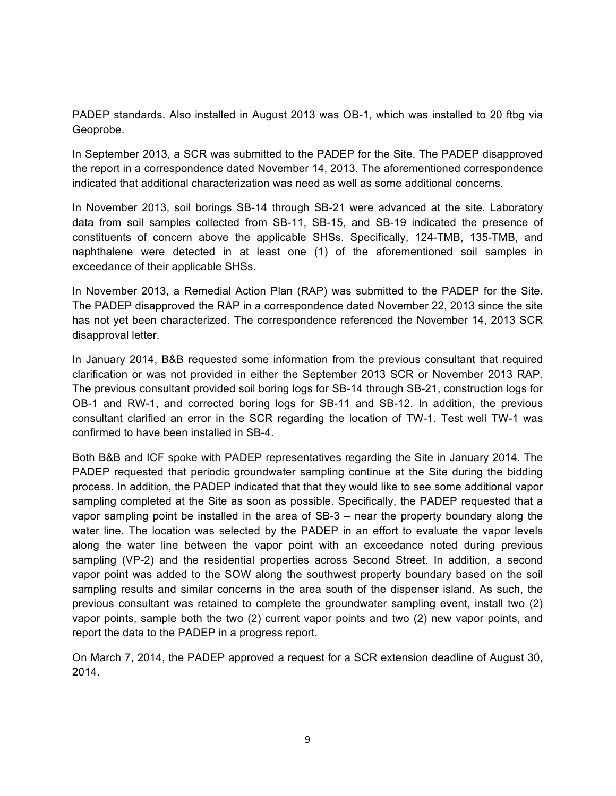PADEP standards. Also installed in August 2013 was OB-1, which was installed to 20 ftbg via Geoprobe.

In September 2013, a SCR was submitted to the PADEP for the Site. The PADEP disapproved the report in a correspondence dated November 14, 2013. The aforementioned correspondence indicated that additional characterization was need as well as some additional concerns.

In November 2013, soil borings SB-14 through SB-21 were advanced at the site. Laboratory data from soil samples collected from SB-11, SB-15, and SB-19 indicated the presence of constituents of concern above the applicable SHSs. Specifically, 124-TMB, 135-TMB, and naphthalene were detected in at least one (1) of the aforementioned soil samples in exceedance of their applicable SHSs.

In November 2013, a Remedial Action Plan (RAP) was submitted to the PADEP for the Site. The PADEP disapproved the RAP in a correspondence dated November 22, 2013 since the site has not yet been characterized. The correspondence referenced the November 14, 2013 SCR disapproval letter.

In January 2014, B&B requested some information from the previous consultant that required clarification or was not provided in either the September 2013 SCR or November 2013 RAP. The previous consultant provided soil boring logs for SB-14 through SB-21, construction logs for OB-1 and RW-1, and corrected boring logs for SB-11 and SB-12. In addition, the previous consultant clarified an error in the SCR regarding the location of TW-1. Test well TW-1 was confirmed to have been installed in SB-4.

Both B&B and ICF spoke with PADEP representatives regarding the Site in January 2014. The PADEP requested that periodic groundwater sampling continue at the Site during the bidding process. In addition, the PADEP indicated that that they would like to see some additional vapor sampling completed at the Site as soon as possible. Specifically, the PADEP requested that a vapor sampling point be installed in the area of SB-3 – near the property boundary along the water line. The location was selected by the PADEP in an effort to evaluate the vapor levels along the water line between the vapor point with an exceedance noted during previous sampling (VP-2) and the residential properties across Second Street. In addition, a second vapor point was added to the SOW along the southwest property boundary based on the soil sampling results and similar concerns in the area south of the dispenser island. As such, the previous consultant was retained to complete the groundwater sampling event, install two (2) vapor points, sample both the two (2) current vapor points and two (2) new vapor points, and report the data to the PADEP in a progress report.

On March 7, 2014, the PADEP approved a request for a SCR extension deadline of August 30, 2014.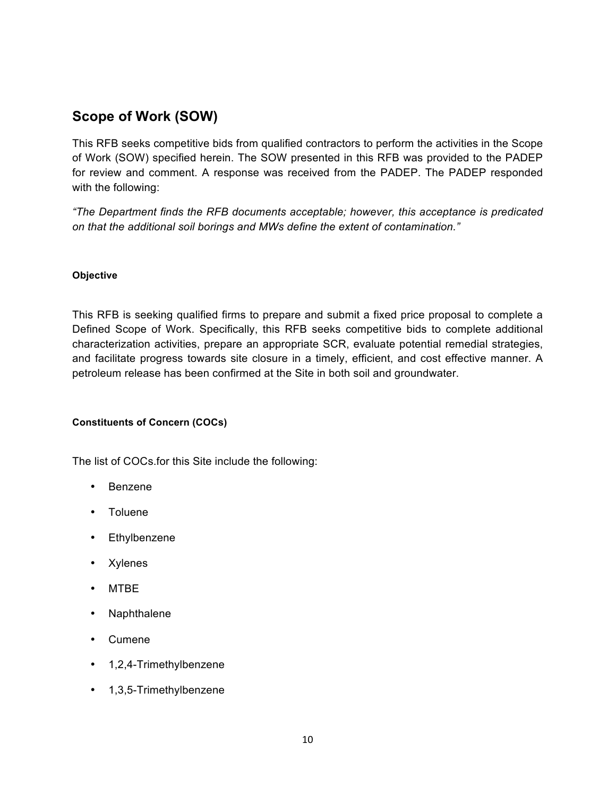## **Scope of Work (SOW)**

This RFB seeks competitive bids from qualified contractors to perform the activities in the Scope of Work (SOW) specified herein. The SOW presented in this RFB was provided to the PADEP for review and comment. A response was received from the PADEP. The PADEP responded with the following:

*"The Department finds the RFB documents acceptable; however, this acceptance is predicated on that the additional soil borings and MWs define the extent of contamination."*

### **Objective**

This RFB is seeking qualified firms to prepare and submit a fixed price proposal to complete a Defined Scope of Work. Specifically, this RFB seeks competitive bids to complete additional characterization activities, prepare an appropriate SCR, evaluate potential remedial strategies, and facilitate progress towards site closure in a timely, efficient, and cost effective manner. A petroleum release has been confirmed at the Site in both soil and groundwater.

#### **Constituents of Concern (COCs)**

The list of COCs.for this Site include the following:

- Benzene
- Toluene
- Ethylbenzene
- Xylenes
- MTBE
- Naphthalene
- Cumene
- 1,2,4-Trimethylbenzene
- 1,3,5-Trimethylbenzene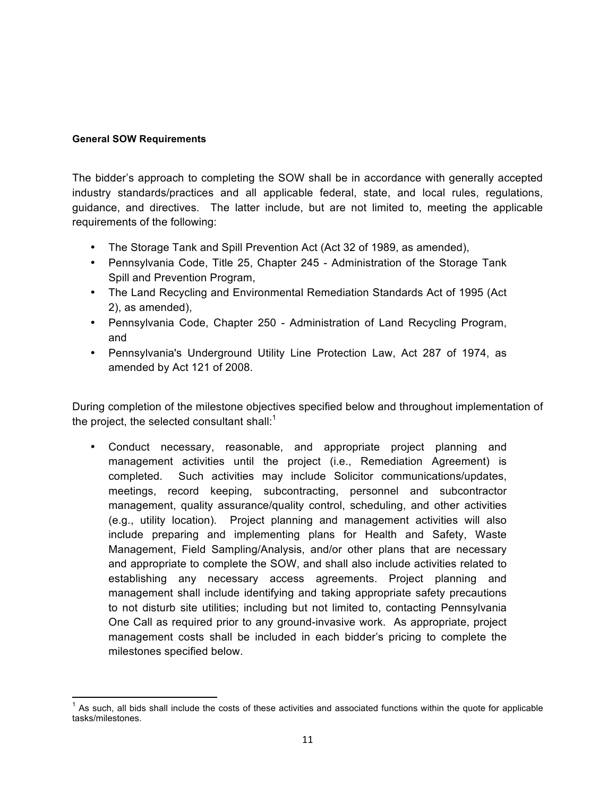### **General SOW Requirements**

The bidder's approach to completing the SOW shall be in accordance with generally accepted industry standards/practices and all applicable federal, state, and local rules, regulations, guidance, and directives. The latter include, but are not limited to, meeting the applicable requirements of the following:

- The Storage Tank and Spill Prevention Act (Act 32 of 1989, as amended),
- Pennsylvania Code, Title 25, Chapter 245 Administration of the Storage Tank Spill and Prevention Program,
- The Land Recycling and Environmental Remediation Standards Act of 1995 (Act 2), as amended),
- Pennsylvania Code, Chapter 250 Administration of Land Recycling Program, and
- Pennsylvania's Underground Utility Line Protection Law, Act 287 of 1974, as amended by Act 121 of 2008.

During completion of the milestone objectives specified below and throughout implementation of the project, the selected consultant shall: $<sup>1</sup>$ </sup>

• Conduct necessary, reasonable, and appropriate project planning and management activities until the project (i.e., Remediation Agreement) is completed. Such activities may include Solicitor communications/updates, meetings, record keeping, subcontracting, personnel and subcontractor management, quality assurance/quality control, scheduling, and other activities (e.g., utility location). Project planning and management activities will also include preparing and implementing plans for Health and Safety, Waste Management, Field Sampling/Analysis, and/or other plans that are necessary and appropriate to complete the SOW, and shall also include activities related to establishing any necessary access agreements. Project planning and management shall include identifying and taking appropriate safety precautions to not disturb site utilities; including but not limited to, contacting Pennsylvania One Call as required prior to any ground-invasive work. As appropriate, project management costs shall be included in each bidder's pricing to complete the milestones specified below.

As such, all bids shall include the costs of these activities and associated functions within the quote for applicable tasks/milestones.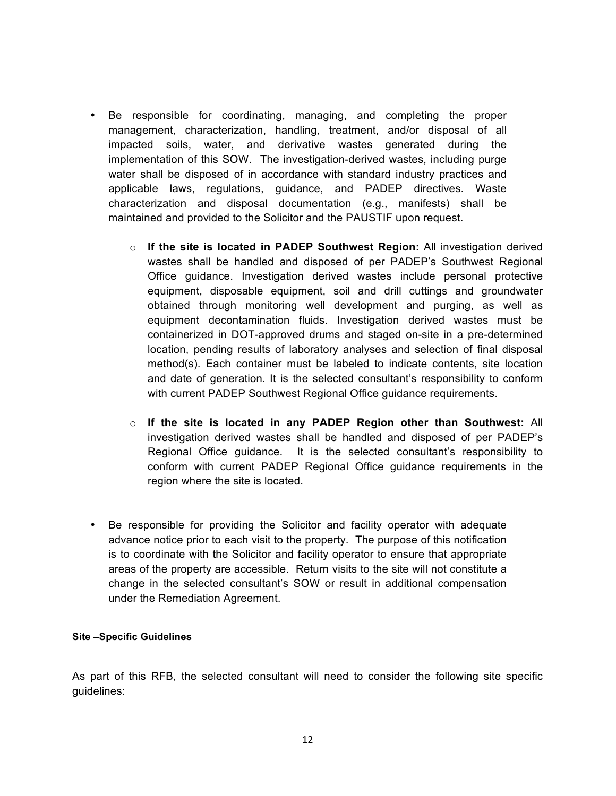- Be responsible for coordinating, managing, and completing the proper management, characterization, handling, treatment, and/or disposal of all impacted soils, water, and derivative wastes generated during the implementation of this SOW. The investigation-derived wastes, including purge water shall be disposed of in accordance with standard industry practices and applicable laws, regulations, guidance, and PADEP directives. Waste characterization and disposal documentation (e.g., manifests) shall be maintained and provided to the Solicitor and the PAUSTIF upon request.
	- o **If the site is located in PADEP Southwest Region:** All investigation derived wastes shall be handled and disposed of per PADEP's Southwest Regional Office guidance. Investigation derived wastes include personal protective equipment, disposable equipment, soil and drill cuttings and groundwater obtained through monitoring well development and purging, as well as equipment decontamination fluids. Investigation derived wastes must be containerized in DOT-approved drums and staged on-site in a pre-determined location, pending results of laboratory analyses and selection of final disposal method(s). Each container must be labeled to indicate contents, site location and date of generation. It is the selected consultant's responsibility to conform with current PADEP Southwest Regional Office guidance requirements.
	- o **If the site is located in any PADEP Region other than Southwest:** All investigation derived wastes shall be handled and disposed of per PADEP's Regional Office guidance. It is the selected consultant's responsibility to conform with current PADEP Regional Office guidance requirements in the region where the site is located.
- Be responsible for providing the Solicitor and facility operator with adequate advance notice prior to each visit to the property. The purpose of this notification is to coordinate with the Solicitor and facility operator to ensure that appropriate areas of the property are accessible. Return visits to the site will not constitute a change in the selected consultant's SOW or result in additional compensation under the Remediation Agreement.

#### **Site –Specific Guidelines**

As part of this RFB, the selected consultant will need to consider the following site specific guidelines: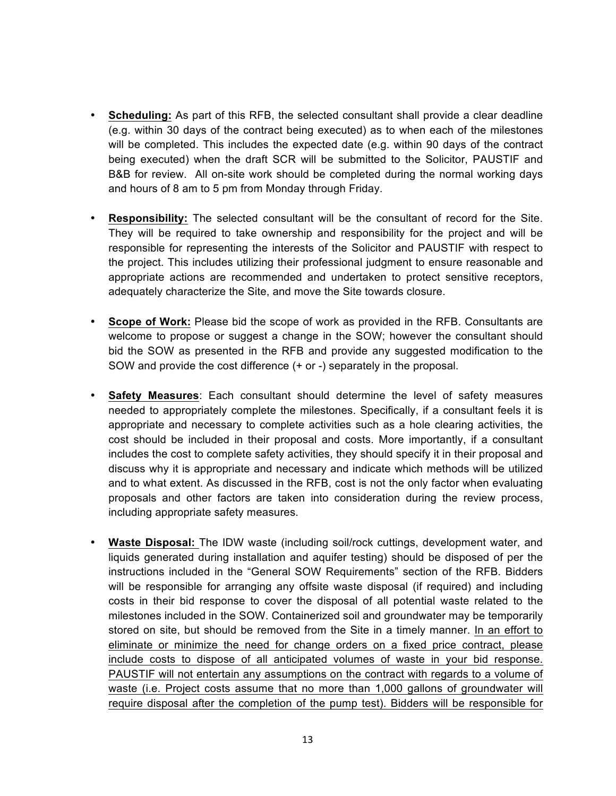- **Scheduling:** As part of this RFB, the selected consultant shall provide a clear deadline (e.g. within 30 days of the contract being executed) as to when each of the milestones will be completed. This includes the expected date (e.g. within 90 days of the contract being executed) when the draft SCR will be submitted to the Solicitor, PAUSTIF and B&B for review. All on-site work should be completed during the normal working days and hours of 8 am to 5 pm from Monday through Friday.
- **Responsibility:** The selected consultant will be the consultant of record for the Site. They will be required to take ownership and responsibility for the project and will be responsible for representing the interests of the Solicitor and PAUSTIF with respect to the project. This includes utilizing their professional judgment to ensure reasonable and appropriate actions are recommended and undertaken to protect sensitive receptors, adequately characterize the Site, and move the Site towards closure.
- **Scope of Work:** Please bid the scope of work as provided in the RFB. Consultants are welcome to propose or suggest a change in the SOW; however the consultant should bid the SOW as presented in the RFB and provide any suggested modification to the SOW and provide the cost difference (+ or -) separately in the proposal.
- **Safety Measures**: Each consultant should determine the level of safety measures needed to appropriately complete the milestones. Specifically, if a consultant feels it is appropriate and necessary to complete activities such as a hole clearing activities, the cost should be included in their proposal and costs. More importantly, if a consultant includes the cost to complete safety activities, they should specify it in their proposal and discuss why it is appropriate and necessary and indicate which methods will be utilized and to what extent. As discussed in the RFB, cost is not the only factor when evaluating proposals and other factors are taken into consideration during the review process, including appropriate safety measures.
- **Waste Disposal:** The IDW waste (including soil/rock cuttings, development water, and liquids generated during installation and aquifer testing) should be disposed of per the instructions included in the "General SOW Requirements" section of the RFB. Bidders will be responsible for arranging any offsite waste disposal (if required) and including costs in their bid response to cover the disposal of all potential waste related to the milestones included in the SOW. Containerized soil and groundwater may be temporarily stored on site, but should be removed from the Site in a timely manner. In an effort to eliminate or minimize the need for change orders on a fixed price contract, please include costs to dispose of all anticipated volumes of waste in your bid response. PAUSTIF will not entertain any assumptions on the contract with regards to a volume of waste (i.e. Project costs assume that no more than 1,000 gallons of groundwater will require disposal after the completion of the pump test). Bidders will be responsible for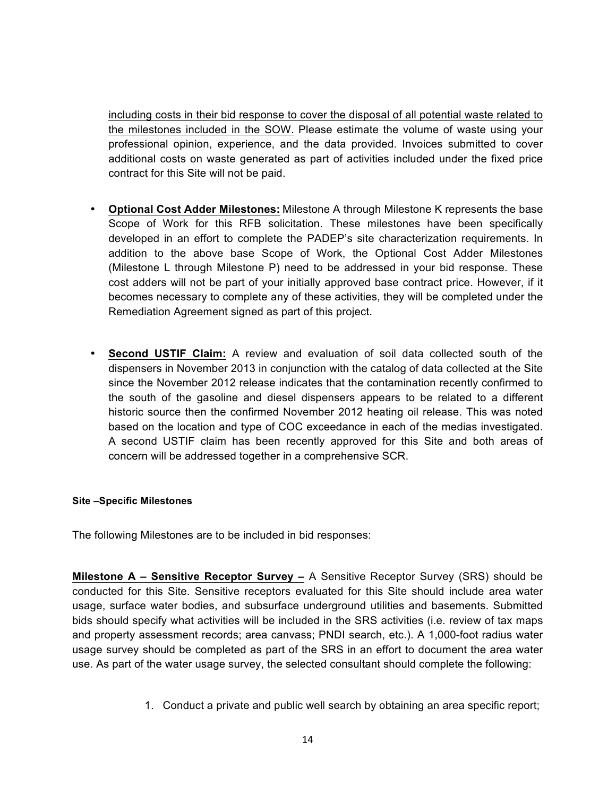including costs in their bid response to cover the disposal of all potential waste related to the milestones included in the SOW. Please estimate the volume of waste using your professional opinion, experience, and the data provided. Invoices submitted to cover additional costs on waste generated as part of activities included under the fixed price contract for this Site will not be paid.

- **Optional Cost Adder Milestones:** Milestone A through Milestone K represents the base Scope of Work for this RFB solicitation. These milestones have been specifically developed in an effort to complete the PADEP's site characterization requirements. In addition to the above base Scope of Work, the Optional Cost Adder Milestones (Milestone L through Milestone P) need to be addressed in your bid response. These cost adders will not be part of your initially approved base contract price. However, if it becomes necessary to complete any of these activities, they will be completed under the Remediation Agreement signed as part of this project.
- **Second USTIF Claim:** A review and evaluation of soil data collected south of the dispensers in November 2013 in conjunction with the catalog of data collected at the Site since the November 2012 release indicates that the contamination recently confirmed to the south of the gasoline and diesel dispensers appears to be related to a different historic source then the confirmed November 2012 heating oil release. This was noted based on the location and type of COC exceedance in each of the medias investigated. A second USTIF claim has been recently approved for this Site and both areas of concern will be addressed together in a comprehensive SCR.

#### **Site –Specific Milestones**

The following Milestones are to be included in bid responses:

**Milestone A – Sensitive Receptor Survey –** A Sensitive Receptor Survey (SRS) should be conducted for this Site. Sensitive receptors evaluated for this Site should include area water usage, surface water bodies, and subsurface underground utilities and basements. Submitted bids should specify what activities will be included in the SRS activities (i.e. review of tax maps and property assessment records; area canvass; PNDI search, etc.). A 1,000-foot radius water usage survey should be completed as part of the SRS in an effort to document the area water use. As part of the water usage survey, the selected consultant should complete the following:

1. Conduct a private and public well search by obtaining an area specific report;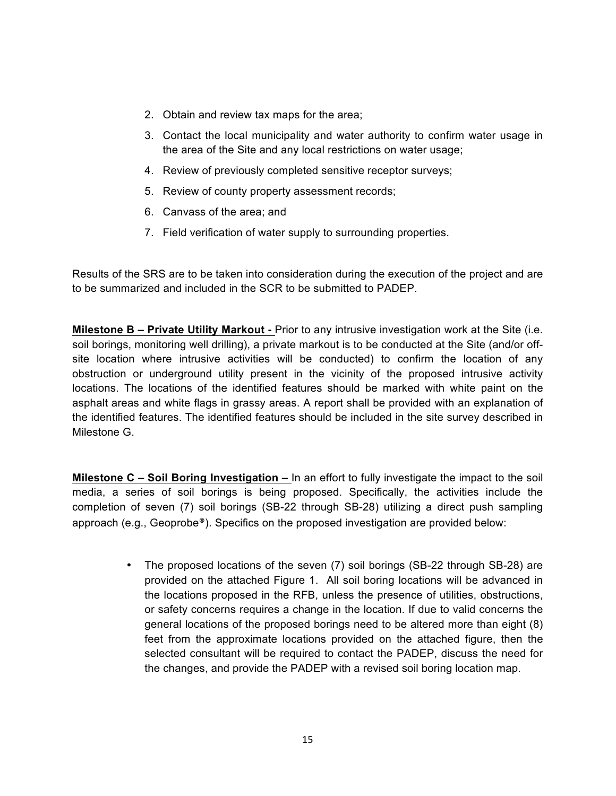- 2. Obtain and review tax maps for the area;
- 3. Contact the local municipality and water authority to confirm water usage in the area of the Site and any local restrictions on water usage;
- 4. Review of previously completed sensitive receptor surveys;
- 5. Review of county property assessment records;
- 6. Canvass of the area; and
- 7. Field verification of water supply to surrounding properties.

Results of the SRS are to be taken into consideration during the execution of the project and are to be summarized and included in the SCR to be submitted to PADEP.

**Milestone B – Private Utility Markout -** Prior to any intrusive investigation work at the Site (i.e. soil borings, monitoring well drilling), a private markout is to be conducted at the Site (and/or offsite location where intrusive activities will be conducted) to confirm the location of any obstruction or underground utility present in the vicinity of the proposed intrusive activity locations. The locations of the identified features should be marked with white paint on the asphalt areas and white flags in grassy areas. A report shall be provided with an explanation of the identified features. The identified features should be included in the site survey described in Milestone G.

**Milestone C – Soil Boring Investigation –** In an effort to fully investigate the impact to the soil media, a series of soil borings is being proposed. Specifically, the activities include the completion of seven (7) soil borings (SB-22 through SB-28) utilizing a direct push sampling approach (e.g., Geoprobe®). Specifics on the proposed investigation are provided below:

> • The proposed locations of the seven (7) soil borings (SB-22 through SB-28) are provided on the attached Figure 1. All soil boring locations will be advanced in the locations proposed in the RFB, unless the presence of utilities, obstructions, or safety concerns requires a change in the location. If due to valid concerns the general locations of the proposed borings need to be altered more than eight (8) feet from the approximate locations provided on the attached figure, then the selected consultant will be required to contact the PADEP, discuss the need for the changes, and provide the PADEP with a revised soil boring location map.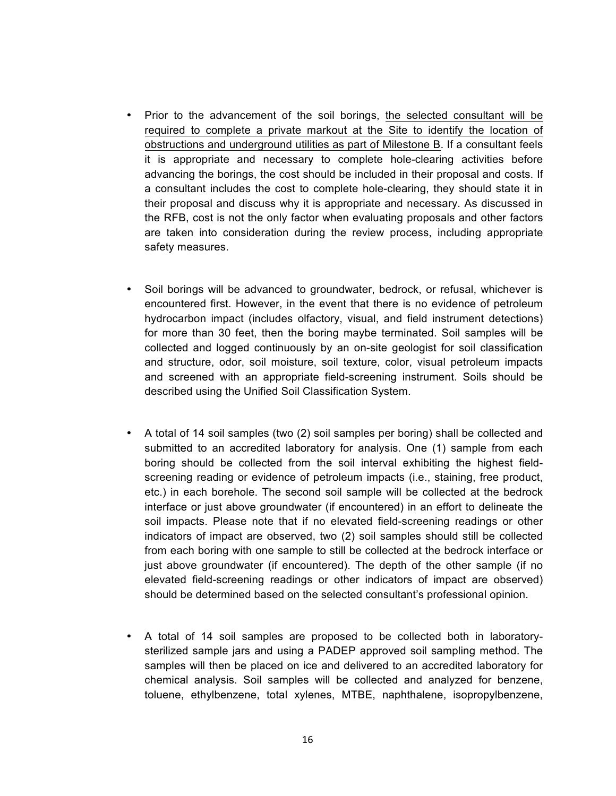- Prior to the advancement of the soil borings, the selected consultant will be required to complete a private markout at the Site to identify the location of obstructions and underground utilities as part of Milestone B. If a consultant feels it is appropriate and necessary to complete hole-clearing activities before advancing the borings, the cost should be included in their proposal and costs. If a consultant includes the cost to complete hole-clearing, they should state it in their proposal and discuss why it is appropriate and necessary. As discussed in the RFB, cost is not the only factor when evaluating proposals and other factors are taken into consideration during the review process, including appropriate safety measures.
- Soil borings will be advanced to groundwater, bedrock, or refusal, whichever is encountered first. However, in the event that there is no evidence of petroleum hydrocarbon impact (includes olfactory, visual, and field instrument detections) for more than 30 feet, then the boring maybe terminated. Soil samples will be collected and logged continuously by an on-site geologist for soil classification and structure, odor, soil moisture, soil texture, color, visual petroleum impacts and screened with an appropriate field-screening instrument. Soils should be described using the Unified Soil Classification System.
- A total of 14 soil samples (two (2) soil samples per boring) shall be collected and submitted to an accredited laboratory for analysis. One (1) sample from each boring should be collected from the soil interval exhibiting the highest fieldscreening reading or evidence of petroleum impacts (i.e., staining, free product, etc.) in each borehole. The second soil sample will be collected at the bedrock interface or just above groundwater (if encountered) in an effort to delineate the soil impacts. Please note that if no elevated field-screening readings or other indicators of impact are observed, two (2) soil samples should still be collected from each boring with one sample to still be collected at the bedrock interface or just above groundwater (if encountered). The depth of the other sample (if no elevated field-screening readings or other indicators of impact are observed) should be determined based on the selected consultant's professional opinion.
- A total of 14 soil samples are proposed to be collected both in laboratorysterilized sample jars and using a PADEP approved soil sampling method. The samples will then be placed on ice and delivered to an accredited laboratory for chemical analysis. Soil samples will be collected and analyzed for benzene, toluene, ethylbenzene, total xylenes, MTBE, naphthalene, isopropylbenzene,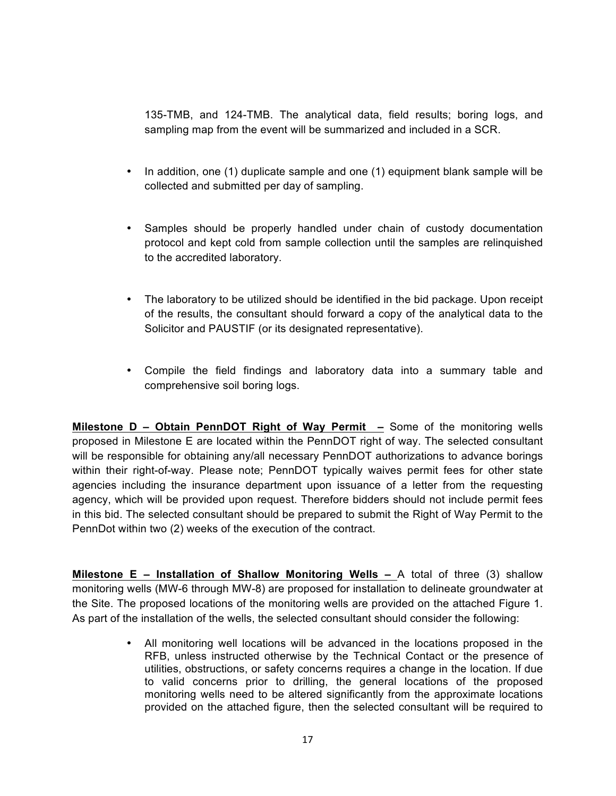135-TMB, and 124-TMB. The analytical data, field results; boring logs, and sampling map from the event will be summarized and included in a SCR.

- In addition, one (1) duplicate sample and one (1) equipment blank sample will be collected and submitted per day of sampling.
- Samples should be properly handled under chain of custody documentation protocol and kept cold from sample collection until the samples are relinquished to the accredited laboratory.
- The laboratory to be utilized should be identified in the bid package. Upon receipt of the results, the consultant should forward a copy of the analytical data to the Solicitor and PAUSTIF (or its designated representative).
- Compile the field findings and laboratory data into a summary table and comprehensive soil boring logs.

**Milestone D – Obtain PennDOT Right of Way Permit –** Some of the monitoring wells proposed in Milestone E are located within the PennDOT right of way. The selected consultant will be responsible for obtaining any/all necessary PennDOT authorizations to advance borings within their right-of-way. Please note; PennDOT typically waives permit fees for other state agencies including the insurance department upon issuance of a letter from the requesting agency, which will be provided upon request. Therefore bidders should not include permit fees in this bid. The selected consultant should be prepared to submit the Right of Way Permit to the PennDot within two (2) weeks of the execution of the contract.

**Milestone E – Installation of Shallow Monitoring Wells –** A total of three (3) shallow monitoring wells (MW-6 through MW-8) are proposed for installation to delineate groundwater at the Site. The proposed locations of the monitoring wells are provided on the attached Figure 1. As part of the installation of the wells, the selected consultant should consider the following:

> • All monitoring well locations will be advanced in the locations proposed in the RFB, unless instructed otherwise by the Technical Contact or the presence of utilities, obstructions, or safety concerns requires a change in the location. If due to valid concerns prior to drilling, the general locations of the proposed monitoring wells need to be altered significantly from the approximate locations provided on the attached figure, then the selected consultant will be required to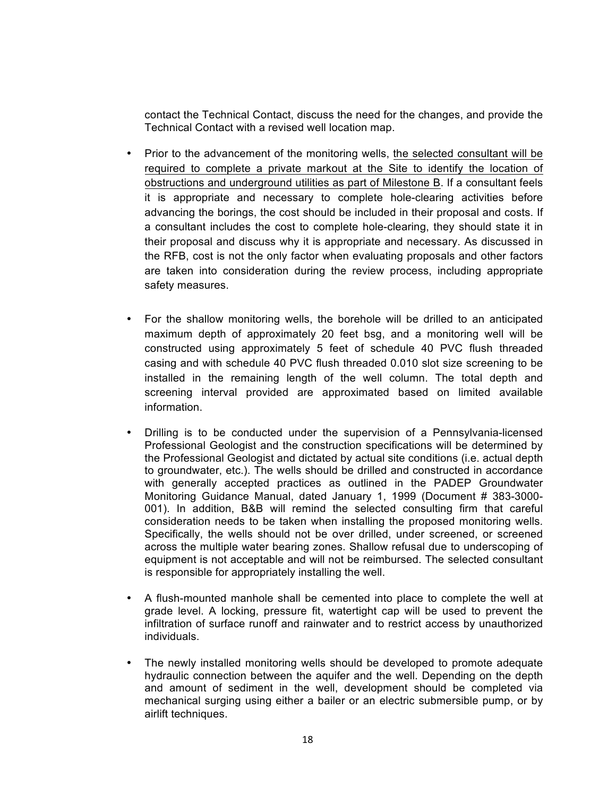contact the Technical Contact, discuss the need for the changes, and provide the Technical Contact with a revised well location map.

- Prior to the advancement of the monitoring wells, the selected consultant will be required to complete a private markout at the Site to identify the location of obstructions and underground utilities as part of Milestone B. If a consultant feels it is appropriate and necessary to complete hole-clearing activities before advancing the borings, the cost should be included in their proposal and costs. If a consultant includes the cost to complete hole-clearing, they should state it in their proposal and discuss why it is appropriate and necessary. As discussed in the RFB, cost is not the only factor when evaluating proposals and other factors are taken into consideration during the review process, including appropriate safety measures.
- For the shallow monitoring wells, the borehole will be drilled to an anticipated maximum depth of approximately 20 feet bsg, and a monitoring well will be constructed using approximately 5 feet of schedule 40 PVC flush threaded casing and with schedule 40 PVC flush threaded 0.010 slot size screening to be installed in the remaining length of the well column. The total depth and screening interval provided are approximated based on limited available information.
- Drilling is to be conducted under the supervision of a Pennsylvania-licensed Professional Geologist and the construction specifications will be determined by the Professional Geologist and dictated by actual site conditions (i.e. actual depth to groundwater, etc.). The wells should be drilled and constructed in accordance with generally accepted practices as outlined in the PADEP Groundwater Monitoring Guidance Manual, dated January 1, 1999 (Document # 383-3000- 001). In addition, B&B will remind the selected consulting firm that careful consideration needs to be taken when installing the proposed monitoring wells. Specifically, the wells should not be over drilled, under screened, or screened across the multiple water bearing zones. Shallow refusal due to underscoping of equipment is not acceptable and will not be reimbursed. The selected consultant is responsible for appropriately installing the well.
- A flush-mounted manhole shall be cemented into place to complete the well at grade level. A locking, pressure fit, watertight cap will be used to prevent the infiltration of surface runoff and rainwater and to restrict access by unauthorized individuals.
- The newly installed monitoring wells should be developed to promote adequate hydraulic connection between the aquifer and the well. Depending on the depth and amount of sediment in the well, development should be completed via mechanical surging using either a bailer or an electric submersible pump, or by airlift techniques.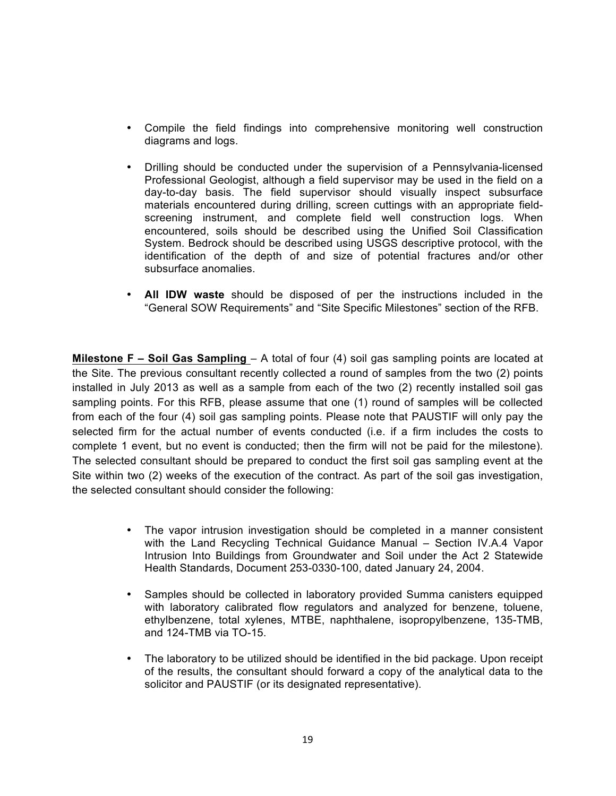- Compile the field findings into comprehensive monitoring well construction diagrams and logs.
- Drilling should be conducted under the supervision of a Pennsylvania-licensed Professional Geologist, although a field supervisor may be used in the field on a day-to-day basis. The field supervisor should visually inspect subsurface materials encountered during drilling, screen cuttings with an appropriate fieldscreening instrument, and complete field well construction logs. When encountered, soils should be described using the Unified Soil Classification System. Bedrock should be described using USGS descriptive protocol, with the identification of the depth of and size of potential fractures and/or other subsurface anomalies.
- **All IDW waste** should be disposed of per the instructions included in the "General SOW Requirements" and "Site Specific Milestones" section of the RFB.

**Milestone F – Soil Gas Sampling** – A total of four (4) soil gas sampling points are located at the Site. The previous consultant recently collected a round of samples from the two (2) points installed in July 2013 as well as a sample from each of the two (2) recently installed soil gas sampling points. For this RFB, please assume that one (1) round of samples will be collected from each of the four (4) soil gas sampling points. Please note that PAUSTIF will only pay the selected firm for the actual number of events conducted (i.e. if a firm includes the costs to complete 1 event, but no event is conducted; then the firm will not be paid for the milestone). The selected consultant should be prepared to conduct the first soil gas sampling event at the Site within two (2) weeks of the execution of the contract. As part of the soil gas investigation, the selected consultant should consider the following:

- The vapor intrusion investigation should be completed in a manner consistent with the Land Recycling Technical Guidance Manual – Section IV.A.4 Vapor Intrusion Into Buildings from Groundwater and Soil under the Act 2 Statewide Health Standards, Document 253-0330-100, dated January 24, 2004.
- Samples should be collected in laboratory provided Summa canisters equipped with laboratory calibrated flow regulators and analyzed for benzene, toluene, ethylbenzene, total xylenes, MTBE, naphthalene, isopropylbenzene, 135-TMB, and 124-TMB via TO-15.
- The laboratory to be utilized should be identified in the bid package. Upon receipt of the results, the consultant should forward a copy of the analytical data to the solicitor and PAUSTIF (or its designated representative).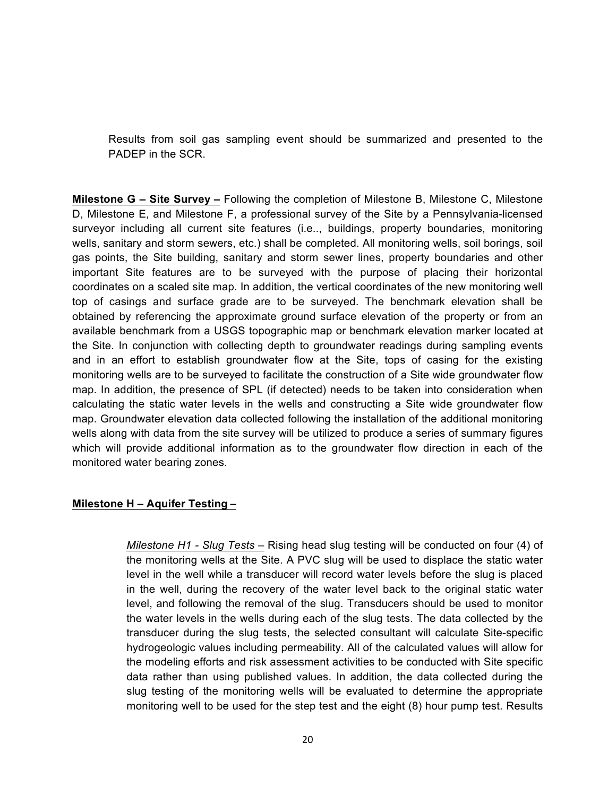Results from soil gas sampling event should be summarized and presented to the PADEP in the SCR.

**Milestone G – Site Survey –** Following the completion of Milestone B, Milestone C, Milestone D, Milestone E, and Milestone F, a professional survey of the Site by a Pennsylvania-licensed surveyor including all current site features (i.e.., buildings, property boundaries, monitoring wells, sanitary and storm sewers, etc.) shall be completed. All monitoring wells, soil borings, soil gas points, the Site building, sanitary and storm sewer lines, property boundaries and other important Site features are to be surveyed with the purpose of placing their horizontal coordinates on a scaled site map. In addition, the vertical coordinates of the new monitoring well top of casings and surface grade are to be surveyed. The benchmark elevation shall be obtained by referencing the approximate ground surface elevation of the property or from an available benchmark from a USGS topographic map or benchmark elevation marker located at the Site. In conjunction with collecting depth to groundwater readings during sampling events and in an effort to establish groundwater flow at the Site, tops of casing for the existing monitoring wells are to be surveyed to facilitate the construction of a Site wide groundwater flow map. In addition, the presence of SPL (if detected) needs to be taken into consideration when calculating the static water levels in the wells and constructing a Site wide groundwater flow map. Groundwater elevation data collected following the installation of the additional monitoring wells along with data from the site survey will be utilized to produce a series of summary figures which will provide additional information as to the groundwater flow direction in each of the monitored water bearing zones.

### **Milestone H – Aquifer Testing –**

*Milestone H1 - Slug Tests –* Rising head slug testing will be conducted on four (4) of the monitoring wells at the Site. A PVC slug will be used to displace the static water level in the well while a transducer will record water levels before the slug is placed in the well, during the recovery of the water level back to the original static water level, and following the removal of the slug. Transducers should be used to monitor the water levels in the wells during each of the slug tests. The data collected by the transducer during the slug tests, the selected consultant will calculate Site-specific hydrogeologic values including permeability. All of the calculated values will allow for the modeling efforts and risk assessment activities to be conducted with Site specific data rather than using published values. In addition, the data collected during the slug testing of the monitoring wells will be evaluated to determine the appropriate monitoring well to be used for the step test and the eight (8) hour pump test. Results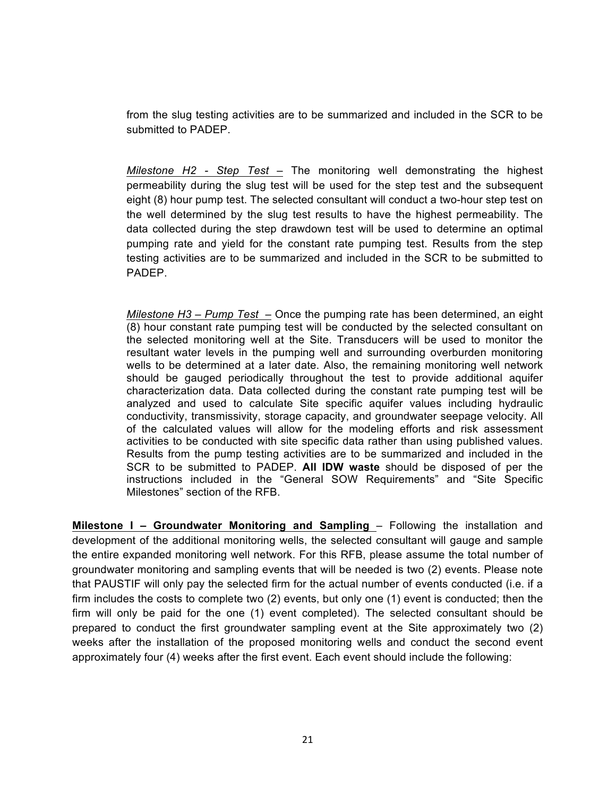from the slug testing activities are to be summarized and included in the SCR to be submitted to PADEP.

*Milestone H2 - Step Test –* The monitoring well demonstrating the highest permeability during the slug test will be used for the step test and the subsequent eight (8) hour pump test. The selected consultant will conduct a two-hour step test on the well determined by the slug test results to have the highest permeability. The data collected during the step drawdown test will be used to determine an optimal pumping rate and yield for the constant rate pumping test. Results from the step testing activities are to be summarized and included in the SCR to be submitted to PADEP.

*Milestone H3 – Pump Test –* Once the pumping rate has been determined, an eight (8) hour constant rate pumping test will be conducted by the selected consultant on the selected monitoring well at the Site. Transducers will be used to monitor the resultant water levels in the pumping well and surrounding overburden monitoring wells to be determined at a later date. Also, the remaining monitoring well network should be gauged periodically throughout the test to provide additional aquifer characterization data. Data collected during the constant rate pumping test will be analyzed and used to calculate Site specific aquifer values including hydraulic conductivity, transmissivity, storage capacity, and groundwater seepage velocity. All of the calculated values will allow for the modeling efforts and risk assessment activities to be conducted with site specific data rather than using published values. Results from the pump testing activities are to be summarized and included in the SCR to be submitted to PADEP. **All IDW waste** should be disposed of per the instructions included in the "General SOW Requirements" and "Site Specific Milestones" section of the RFB.

**Milestone I – Groundwater Monitoring and Sampling** – Following the installation and development of the additional monitoring wells, the selected consultant will gauge and sample the entire expanded monitoring well network. For this RFB, please assume the total number of groundwater monitoring and sampling events that will be needed is two (2) events. Please note that PAUSTIF will only pay the selected firm for the actual number of events conducted (i.e. if a firm includes the costs to complete two (2) events, but only one (1) event is conducted; then the firm will only be paid for the one (1) event completed). The selected consultant should be prepared to conduct the first groundwater sampling event at the Site approximately two (2) weeks after the installation of the proposed monitoring wells and conduct the second event approximately four (4) weeks after the first event. Each event should include the following: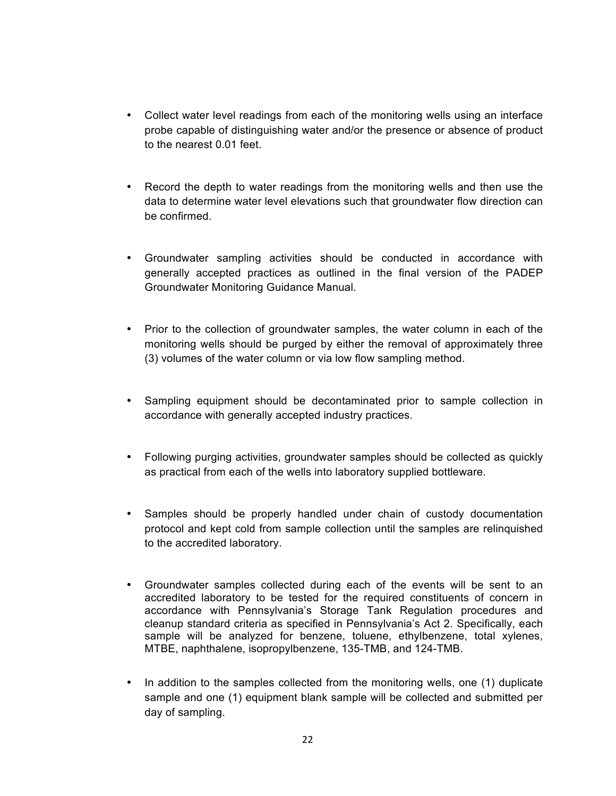- Collect water level readings from each of the monitoring wells using an interface probe capable of distinguishing water and/or the presence or absence of product to the nearest 0.01 feet.
- Record the depth to water readings from the monitoring wells and then use the data to determine water level elevations such that groundwater flow direction can be confirmed.
- Groundwater sampling activities should be conducted in accordance with generally accepted practices as outlined in the final version of the PADEP Groundwater Monitoring Guidance Manual.
- Prior to the collection of groundwater samples, the water column in each of the monitoring wells should be purged by either the removal of approximately three (3) volumes of the water column or via low flow sampling method.
- Sampling equipment should be decontaminated prior to sample collection in accordance with generally accepted industry practices.
- Following purging activities, groundwater samples should be collected as quickly as practical from each of the wells into laboratory supplied bottleware.
- Samples should be properly handled under chain of custody documentation protocol and kept cold from sample collection until the samples are relinquished to the accredited laboratory.
- Groundwater samples collected during each of the events will be sent to an accredited laboratory to be tested for the required constituents of concern in accordance with Pennsylvania's Storage Tank Regulation procedures and cleanup standard criteria as specified in Pennsylvania's Act 2. Specifically, each sample will be analyzed for benzene, toluene, ethylbenzene, total xylenes, MTBE, naphthalene, isopropylbenzene, 135-TMB, and 124-TMB.
- In addition to the samples collected from the monitoring wells, one (1) duplicate sample and one (1) equipment blank sample will be collected and submitted per day of sampling.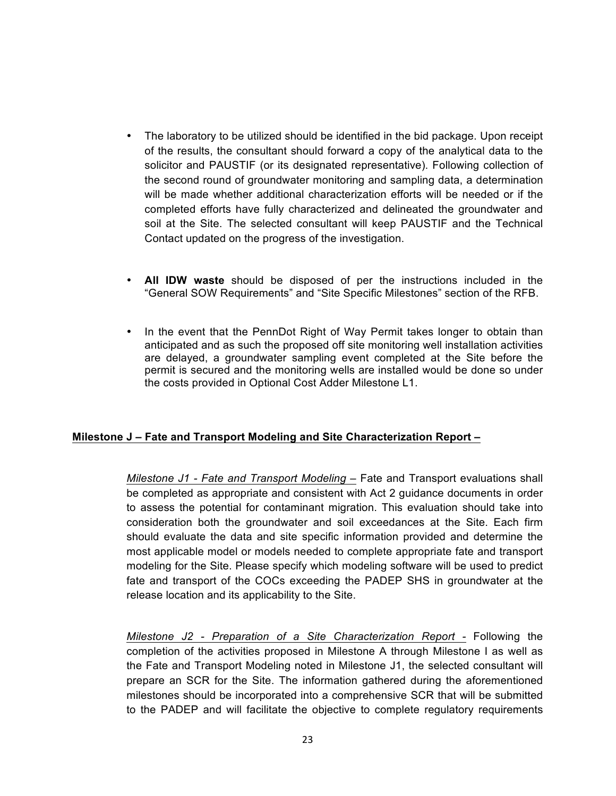- The laboratory to be utilized should be identified in the bid package. Upon receipt of the results, the consultant should forward a copy of the analytical data to the solicitor and PAUSTIF (or its designated representative). Following collection of the second round of groundwater monitoring and sampling data, a determination will be made whether additional characterization efforts will be needed or if the completed efforts have fully characterized and delineated the groundwater and soil at the Site. The selected consultant will keep PAUSTIF and the Technical Contact updated on the progress of the investigation.
- **All IDW waste** should be disposed of per the instructions included in the "General SOW Requirements" and "Site Specific Milestones" section of the RFB.
- In the event that the PennDot Right of Way Permit takes longer to obtain than anticipated and as such the proposed off site monitoring well installation activities are delayed, a groundwater sampling event completed at the Site before the permit is secured and the monitoring wells are installed would be done so under the costs provided in Optional Cost Adder Milestone L1.

### **Milestone J – Fate and Transport Modeling and Site Characterization Report –**

*Milestone J1 - Fate and Transport Modeling –* Fate and Transport evaluations shall be completed as appropriate and consistent with Act 2 guidance documents in order to assess the potential for contaminant migration. This evaluation should take into consideration both the groundwater and soil exceedances at the Site. Each firm should evaluate the data and site specific information provided and determine the most applicable model or models needed to complete appropriate fate and transport modeling for the Site. Please specify which modeling software will be used to predict fate and transport of the COCs exceeding the PADEP SHS in groundwater at the release location and its applicability to the Site.

*Milestone J2 - Preparation of a Site Characterization Report -* Following the completion of the activities proposed in Milestone A through Milestone I as well as the Fate and Transport Modeling noted in Milestone J1, the selected consultant will prepare an SCR for the Site. The information gathered during the aforementioned milestones should be incorporated into a comprehensive SCR that will be submitted to the PADEP and will facilitate the objective to complete regulatory requirements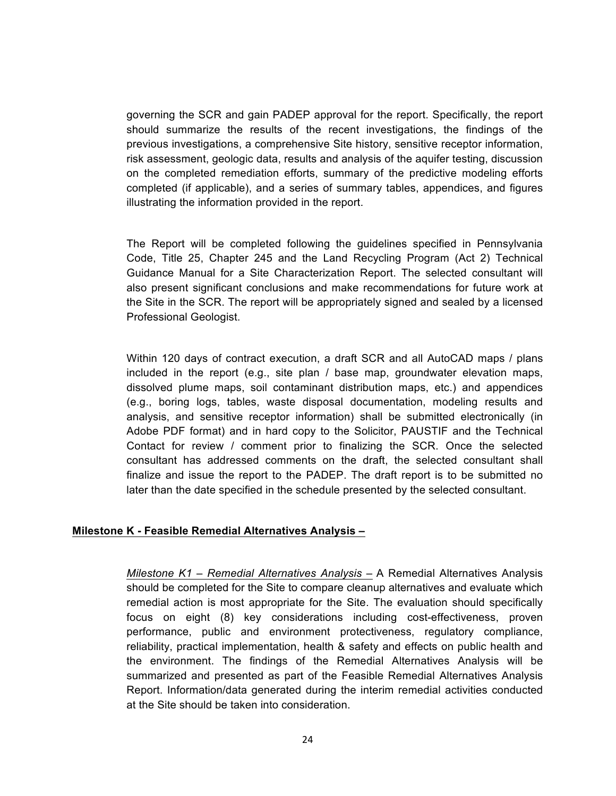governing the SCR and gain PADEP approval for the report. Specifically, the report should summarize the results of the recent investigations, the findings of the previous investigations, a comprehensive Site history, sensitive receptor information, risk assessment, geologic data, results and analysis of the aquifer testing, discussion on the completed remediation efforts, summary of the predictive modeling efforts completed (if applicable), and a series of summary tables, appendices, and figures illustrating the information provided in the report.

The Report will be completed following the guidelines specified in Pennsylvania Code, Title 25, Chapter 245 and the Land Recycling Program (Act 2) Technical Guidance Manual for a Site Characterization Report. The selected consultant will also present significant conclusions and make recommendations for future work at the Site in the SCR. The report will be appropriately signed and sealed by a licensed Professional Geologist.

Within 120 days of contract execution, a draft SCR and all AutoCAD maps / plans included in the report (e.g., site plan / base map, groundwater elevation maps, dissolved plume maps, soil contaminant distribution maps, etc.) and appendices (e.g., boring logs, tables, waste disposal documentation, modeling results and analysis, and sensitive receptor information) shall be submitted electronically (in Adobe PDF format) and in hard copy to the Solicitor, PAUSTIF and the Technical Contact for review / comment prior to finalizing the SCR. Once the selected consultant has addressed comments on the draft, the selected consultant shall finalize and issue the report to the PADEP. The draft report is to be submitted no later than the date specified in the schedule presented by the selected consultant.

#### **Milestone K - Feasible Remedial Alternatives Analysis –**

*Milestone K1 – Remedial Alternatives Analysis –* A Remedial Alternatives Analysis should be completed for the Site to compare cleanup alternatives and evaluate which remedial action is most appropriate for the Site. The evaluation should specifically focus on eight (8) key considerations including cost-effectiveness, proven performance, public and environment protectiveness, regulatory compliance, reliability, practical implementation, health & safety and effects on public health and the environment. The findings of the Remedial Alternatives Analysis will be summarized and presented as part of the Feasible Remedial Alternatives Analysis Report. Information/data generated during the interim remedial activities conducted at the Site should be taken into consideration.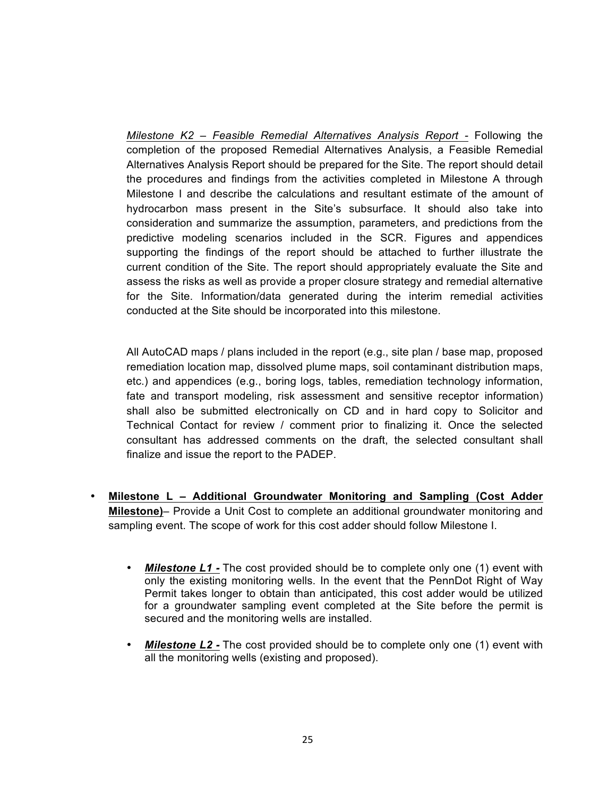*Milestone K2 – Feasible Remedial Alternatives Analysis Report -* Following the completion of the proposed Remedial Alternatives Analysis, a Feasible Remedial Alternatives Analysis Report should be prepared for the Site. The report should detail the procedures and findings from the activities completed in Milestone A through Milestone I and describe the calculations and resultant estimate of the amount of hydrocarbon mass present in the Site's subsurface. It should also take into consideration and summarize the assumption, parameters, and predictions from the predictive modeling scenarios included in the SCR. Figures and appendices supporting the findings of the report should be attached to further illustrate the current condition of the Site. The report should appropriately evaluate the Site and assess the risks as well as provide a proper closure strategy and remedial alternative for the Site. Information/data generated during the interim remedial activities conducted at the Site should be incorporated into this milestone.

All AutoCAD maps / plans included in the report (e.g., site plan / base map, proposed remediation location map, dissolved plume maps, soil contaminant distribution maps, etc.) and appendices (e.g., boring logs, tables, remediation technology information, fate and transport modeling, risk assessment and sensitive receptor information) shall also be submitted electronically on CD and in hard copy to Solicitor and Technical Contact for review / comment prior to finalizing it. Once the selected consultant has addressed comments on the draft, the selected consultant shall finalize and issue the report to the PADEP.

- **Milestone L – Additional Groundwater Monitoring and Sampling (Cost Adder Milestone)**– Provide a Unit Cost to complete an additional groundwater monitoring and sampling event. The scope of work for this cost adder should follow Milestone I.
	- *Milestone L1 -* The cost provided should be to complete only one (1) event with only the existing monitoring wells. In the event that the PennDot Right of Way Permit takes longer to obtain than anticipated, this cost adder would be utilized for a groundwater sampling event completed at the Site before the permit is secured and the monitoring wells are installed.
	- *Milestone L2 -* The cost provided should be to complete only one (1) event with all the monitoring wells (existing and proposed).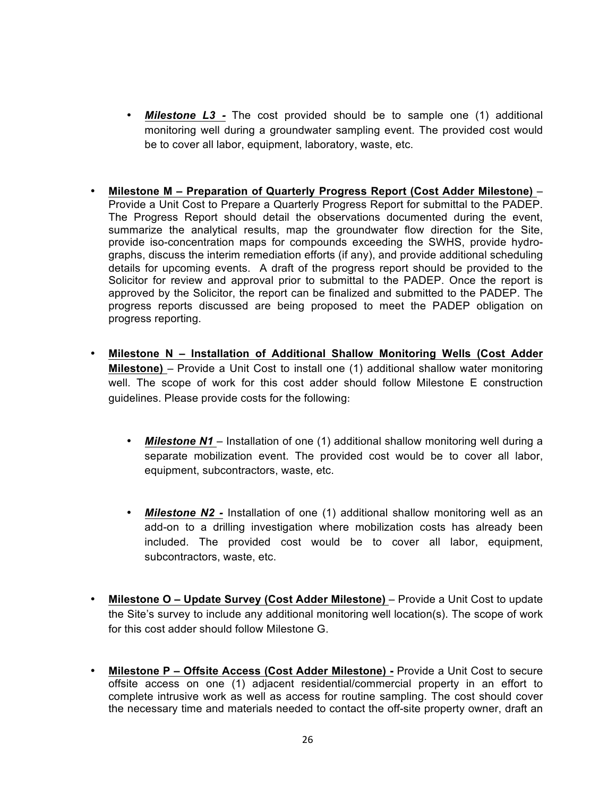- *Milestone L3 -* The cost provided should be to sample one (1) additional monitoring well during a groundwater sampling event. The provided cost would be to cover all labor, equipment, laboratory, waste, etc.
- **Milestone M – Preparation of Quarterly Progress Report (Cost Adder Milestone)** Provide a Unit Cost to Prepare a Quarterly Progress Report for submittal to the PADEP. The Progress Report should detail the observations documented during the event, summarize the analytical results, map the groundwater flow direction for the Site, provide iso-concentration maps for compounds exceeding the SWHS, provide hydrographs, discuss the interim remediation efforts (if any), and provide additional scheduling details for upcoming events. A draft of the progress report should be provided to the Solicitor for review and approval prior to submittal to the PADEP. Once the report is approved by the Solicitor, the report can be finalized and submitted to the PADEP. The progress reports discussed are being proposed to meet the PADEP obligation on progress reporting.
- **Milestone N – Installation of Additional Shallow Monitoring Wells (Cost Adder Milestone)** – Provide a Unit Cost to install one (1) additional shallow water monitoring well. The scope of work for this cost adder should follow Milestone E construction guidelines. Please provide costs for the following:
	- *Milestone N1* Installation of one (1) additional shallow monitoring well during a separate mobilization event. The provided cost would be to cover all labor, equipment, subcontractors, waste, etc.
	- *Milestone N2 -* Installation of one (1) additional shallow monitoring well as an add-on to a drilling investigation where mobilization costs has already been included. The provided cost would be to cover all labor, equipment, subcontractors, waste, etc.
- **Milestone O – Update Survey (Cost Adder Milestone)**  Provide a Unit Cost to update the Site's survey to include any additional monitoring well location(s). The scope of work for this cost adder should follow Milestone G.
- **Milestone P – Offsite Access (Cost Adder Milestone) -** Provide a Unit Cost to secure offsite access on one (1) adjacent residential/commercial property in an effort to complete intrusive work as well as access for routine sampling. The cost should cover the necessary time and materials needed to contact the off-site property owner, draft an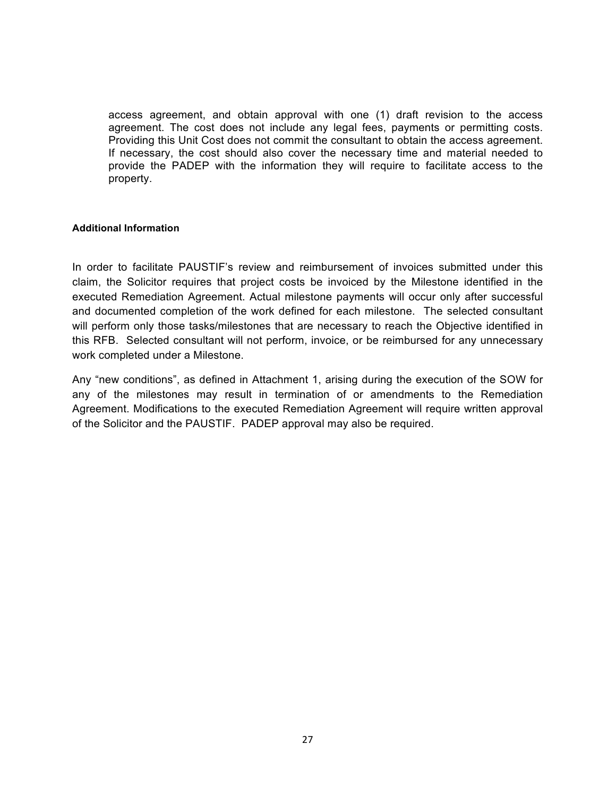access agreement, and obtain approval with one (1) draft revision to the access agreement. The cost does not include any legal fees, payments or permitting costs. Providing this Unit Cost does not commit the consultant to obtain the access agreement. If necessary, the cost should also cover the necessary time and material needed to provide the PADEP with the information they will require to facilitate access to the property.

#### **Additional Information**

In order to facilitate PAUSTIF's review and reimbursement of invoices submitted under this claim, the Solicitor requires that project costs be invoiced by the Milestone identified in the executed Remediation Agreement. Actual milestone payments will occur only after successful and documented completion of the work defined for each milestone. The selected consultant will perform only those tasks/milestones that are necessary to reach the Objective identified in this RFB. Selected consultant will not perform, invoice, or be reimbursed for any unnecessary work completed under a Milestone.

Any "new conditions", as defined in Attachment 1, arising during the execution of the SOW for any of the milestones may result in termination of or amendments to the Remediation Agreement. Modifications to the executed Remediation Agreement will require written approval of the Solicitor and the PAUSTIF. PADEP approval may also be required.